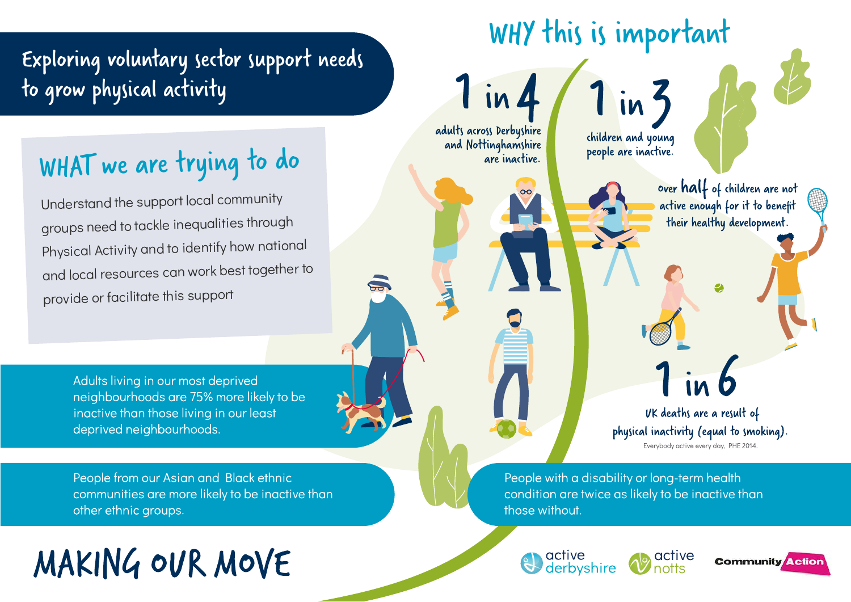### Exploring
voluntary
sector
support
needs to
grow
physical
activity

## WHAT we are trying to do

Understand
the
support local
community groups
need
to
tackle
inequalities
through Physical Activity and to identify how national and
local
resources
can
work
best
together
to provide
or
facilitate
this
support

> Adults living in our most deprived neighbourhoods are 75% more likely to be inactive than those living in our least deprived neighbourhoods.

People from our Asian and Black ethnic communities are more likely to be inactive than other ethnic groups.

# MAKING OUR MOVE



People with a disability or long-term health condition are twice as likely to be inactive than those without.





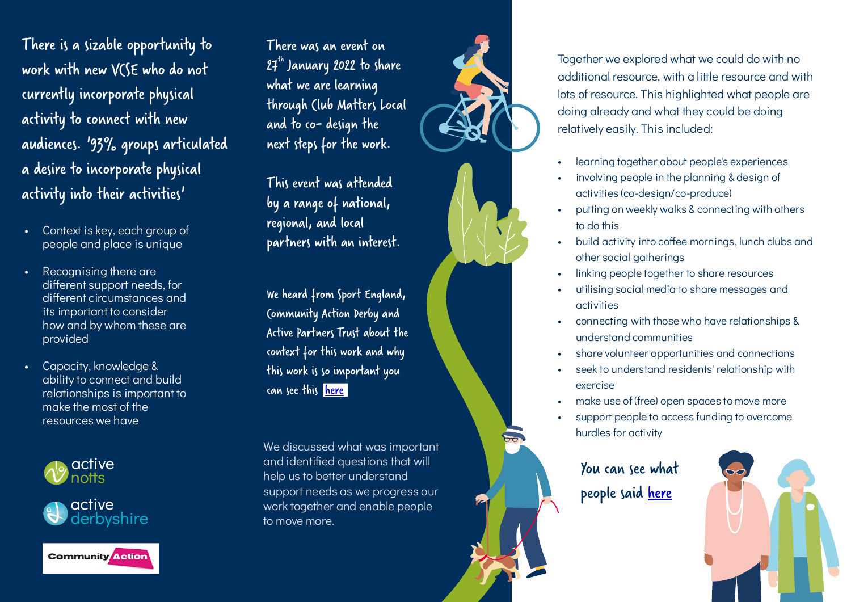There
is
a
sizable
opportunity
to work
with
new
VCSE
who
do
not currently
incorporate
physical activity
to
connect
with
new audiences.
'93%
groups
articulated a
desire
to
incorporate
physical activity
into
their
activities'

- Context is key, each aroup of people
and
place
is
unique
- Recognising there are different support needs, for different circumstances and its
important
to
consider how
and
by
whom
these
are provided
- Capacity, knowledge & ability
to
connect
and
build relationships
is
important
to make
the
most
of
the resources
we
have







There
was
an
event
on  $27<sup>th</sup>$  January 2022 to share what
we
are
learning through
Club
Matters
Local and
to
codesign
the next
steps
for
the
work.

This
event
was
attended by
a
range
of
national, regional,
and
local partners
with
an
interest.

We
heard
from
Sport
England, Community
Action
Derby
and Active
Partners
Trust
about
the context for this work and why this work is so important you can see this here

We
discussed
what
was
important and
identified
questions
that
will help
us
to
better
understand support
needs
as
we
progress
our work
together
and
enable
people to
move
more.





- learning together about people's experiences
- involving people in the planning & design of activities
(co-design/co-produce)
- putting on weekly walks & connecting with others to
do
this
- build activity into coffee mornings, lunch clubs and other
social
gatherings
- linking people together to share resources
- utilising social media to share messages and activities
- connecting
with
those
who
have
relationships
& understand
communities
- share volunteer opportunities and connections
- seek to understand residents' relationship with exercise
- make use of (free) open spaces to move more
- support people to access funding to overcome hurdles
for
activity

You
can
see
what people said here